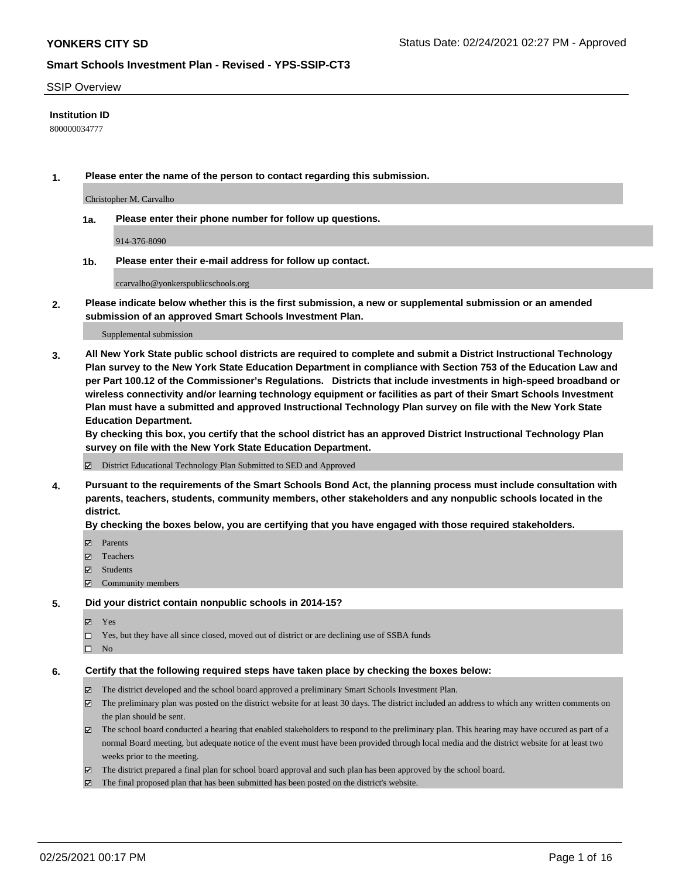#### SSIP Overview

## **Institution ID**

800000034777

**1. Please enter the name of the person to contact regarding this submission.**

Christopher M. Carvalho

**1a. Please enter their phone number for follow up questions.**

914-376-8090

**1b. Please enter their e-mail address for follow up contact.**

ccarvalho@yonkerspublicschools.org

**2. Please indicate below whether this is the first submission, a new or supplemental submission or an amended submission of an approved Smart Schools Investment Plan.**

#### Supplemental submission

**3. All New York State public school districts are required to complete and submit a District Instructional Technology Plan survey to the New York State Education Department in compliance with Section 753 of the Education Law and per Part 100.12 of the Commissioner's Regulations. Districts that include investments in high-speed broadband or wireless connectivity and/or learning technology equipment or facilities as part of their Smart Schools Investment Plan must have a submitted and approved Instructional Technology Plan survey on file with the New York State Education Department.** 

**By checking this box, you certify that the school district has an approved District Instructional Technology Plan survey on file with the New York State Education Department.**

District Educational Technology Plan Submitted to SED and Approved

**4. Pursuant to the requirements of the Smart Schools Bond Act, the planning process must include consultation with parents, teachers, students, community members, other stakeholders and any nonpublic schools located in the district.** 

### **By checking the boxes below, you are certifying that you have engaged with those required stakeholders.**

- **Parents**
- Teachers
- Students
- $\Xi$  Community members

#### **5. Did your district contain nonpublic schools in 2014-15?**

- Yes
- □ Yes, but they have all since closed, moved out of district or are declining use of SSBA funds
- $\hfill \square$  No

#### **6. Certify that the following required steps have taken place by checking the boxes below:**

- The district developed and the school board approved a preliminary Smart Schools Investment Plan.
- The preliminary plan was posted on the district website for at least 30 days. The district included an address to which any written comments on the plan should be sent.
- The school board conducted a hearing that enabled stakeholders to respond to the preliminary plan. This hearing may have occured as part of a normal Board meeting, but adequate notice of the event must have been provided through local media and the district website for at least two weeks prior to the meeting.
- The district prepared a final plan for school board approval and such plan has been approved by the school board.
- $\boxtimes$  The final proposed plan that has been submitted has been posted on the district's website.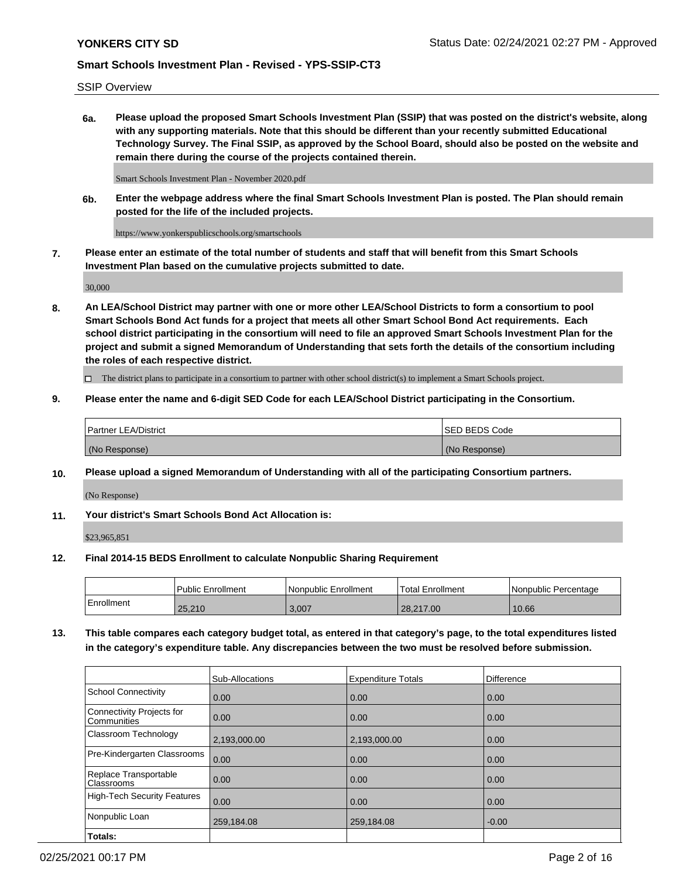SSIP Overview

**6a. Please upload the proposed Smart Schools Investment Plan (SSIP) that was posted on the district's website, along with any supporting materials. Note that this should be different than your recently submitted Educational Technology Survey. The Final SSIP, as approved by the School Board, should also be posted on the website and remain there during the course of the projects contained therein.**

Smart Schools Investment Plan - November 2020.pdf

**6b. Enter the webpage address where the final Smart Schools Investment Plan is posted. The Plan should remain posted for the life of the included projects.**

https://www.yonkerspublicschools.org/smartschools

**7. Please enter an estimate of the total number of students and staff that will benefit from this Smart Schools Investment Plan based on the cumulative projects submitted to date.**

30,000

**8. An LEA/School District may partner with one or more other LEA/School Districts to form a consortium to pool Smart Schools Bond Act funds for a project that meets all other Smart School Bond Act requirements. Each school district participating in the consortium will need to file an approved Smart Schools Investment Plan for the project and submit a signed Memorandum of Understanding that sets forth the details of the consortium including the roles of each respective district.**

 $\Box$  The district plans to participate in a consortium to partner with other school district(s) to implement a Smart Schools project.

## **9. Please enter the name and 6-digit SED Code for each LEA/School District participating in the Consortium.**

| Partner LEA/District | <b>ISED BEDS Code</b> |
|----------------------|-----------------------|
| (No Response)        | (No Response)         |

## **10. Please upload a signed Memorandum of Understanding with all of the participating Consortium partners.**

(No Response)

**11. Your district's Smart Schools Bond Act Allocation is:**

\$23,965,851

## **12. Final 2014-15 BEDS Enrollment to calculate Nonpublic Sharing Requirement**

|            | Public Enrollment | Nonpublic Enrollment | Total Enrollment | I Nonpublic Percentage |
|------------|-------------------|----------------------|------------------|------------------------|
| Enrollment | 25,210            | 3.007                | 28.217.00        | 10.66                  |

**13. This table compares each category budget total, as entered in that category's page, to the total expenditures listed in the category's expenditure table. Any discrepancies between the two must be resolved before submission.**

|                                          | Sub-Allocations | <b>Expenditure Totals</b> | Difference |
|------------------------------------------|-----------------|---------------------------|------------|
| <b>School Connectivity</b>               | 0.00            | 0.00                      | 0.00       |
| Connectivity Projects for<br>Communities | 0.00            | 0.00                      | 0.00       |
| Classroom Technology                     | 2,193,000.00    | 2,193,000.00              | 0.00       |
| Pre-Kindergarten Classrooms              | 0.00            | 0.00                      | 0.00       |
| Replace Transportable<br>Classrooms      | 0.00            | 0.00                      | 0.00       |
| <b>High-Tech Security Features</b>       | 0.00            | 0.00                      | 0.00       |
| Nonpublic Loan                           | 259,184.08      | 259,184.08                | $-0.00$    |
| Totals:                                  |                 |                           |            |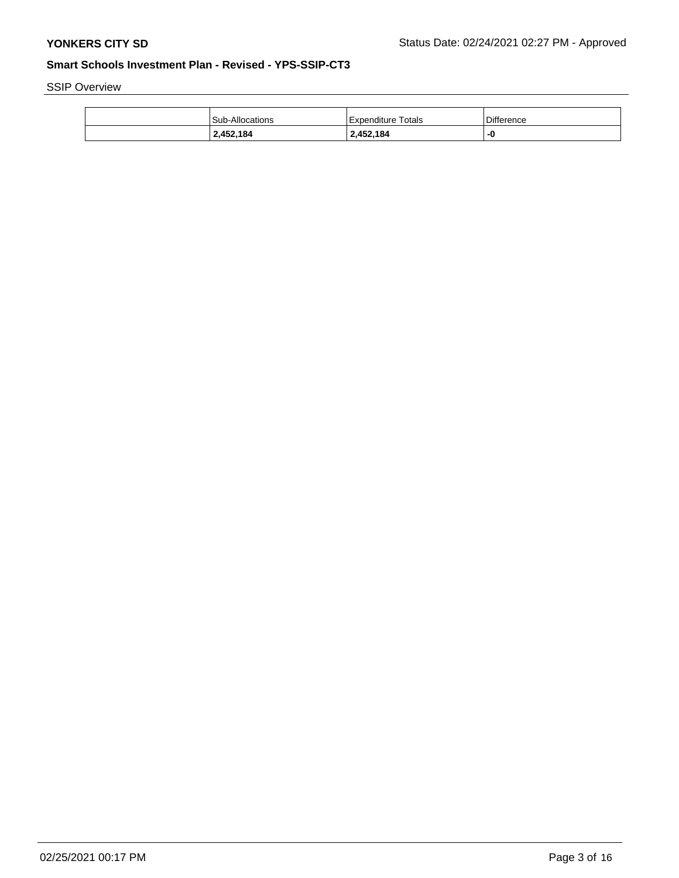SSIP Overview

| Sub-Allocations | Expenditure Totals | <b>Difference</b> |
|-----------------|--------------------|-------------------|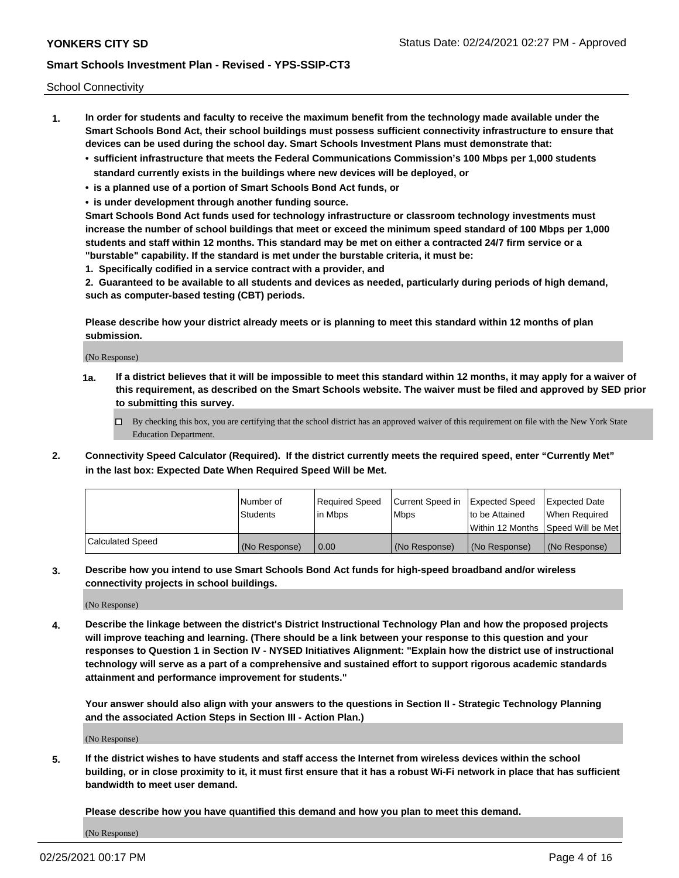School Connectivity

- **1. In order for students and faculty to receive the maximum benefit from the technology made available under the Smart Schools Bond Act, their school buildings must possess sufficient connectivity infrastructure to ensure that devices can be used during the school day. Smart Schools Investment Plans must demonstrate that:**
	- **• sufficient infrastructure that meets the Federal Communications Commission's 100 Mbps per 1,000 students standard currently exists in the buildings where new devices will be deployed, or**
	- **• is a planned use of a portion of Smart Schools Bond Act funds, or**
	- **• is under development through another funding source.**

**Smart Schools Bond Act funds used for technology infrastructure or classroom technology investments must increase the number of school buildings that meet or exceed the minimum speed standard of 100 Mbps per 1,000 students and staff within 12 months. This standard may be met on either a contracted 24/7 firm service or a "burstable" capability. If the standard is met under the burstable criteria, it must be:**

**1. Specifically codified in a service contract with a provider, and**

**2. Guaranteed to be available to all students and devices as needed, particularly during periods of high demand, such as computer-based testing (CBT) periods.**

**Please describe how your district already meets or is planning to meet this standard within 12 months of plan submission.**

(No Response)

**1a. If a district believes that it will be impossible to meet this standard within 12 months, it may apply for a waiver of this requirement, as described on the Smart Schools website. The waiver must be filed and approved by SED prior to submitting this survey.**

 $\Box$  By checking this box, you are certifying that the school district has an approved waiver of this requirement on file with the New York State Education Department.

**2. Connectivity Speed Calculator (Required). If the district currently meets the required speed, enter "Currently Met" in the last box: Expected Date When Required Speed Will be Met.**

|                  | l Number of     | Required Speed | Current Speed in | Expected Speed  | Expected Date                           |
|------------------|-----------------|----------------|------------------|-----------------|-----------------------------------------|
|                  | <b>Students</b> | In Mbps        | l Mbps           | to be Attained  | When Required                           |
|                  |                 |                |                  |                 | l Within 12 Months ISpeed Will be Met l |
| Calculated Speed | (No Response)   | 0.00           | (No Response)    | l (No Response) | l (No Response)                         |

**3. Describe how you intend to use Smart Schools Bond Act funds for high-speed broadband and/or wireless connectivity projects in school buildings.**

(No Response)

**4. Describe the linkage between the district's District Instructional Technology Plan and how the proposed projects will improve teaching and learning. (There should be a link between your response to this question and your responses to Question 1 in Section IV - NYSED Initiatives Alignment: "Explain how the district use of instructional technology will serve as a part of a comprehensive and sustained effort to support rigorous academic standards attainment and performance improvement for students."** 

**Your answer should also align with your answers to the questions in Section II - Strategic Technology Planning and the associated Action Steps in Section III - Action Plan.)**

(No Response)

**5. If the district wishes to have students and staff access the Internet from wireless devices within the school building, or in close proximity to it, it must first ensure that it has a robust Wi-Fi network in place that has sufficient bandwidth to meet user demand.**

**Please describe how you have quantified this demand and how you plan to meet this demand.**

(No Response)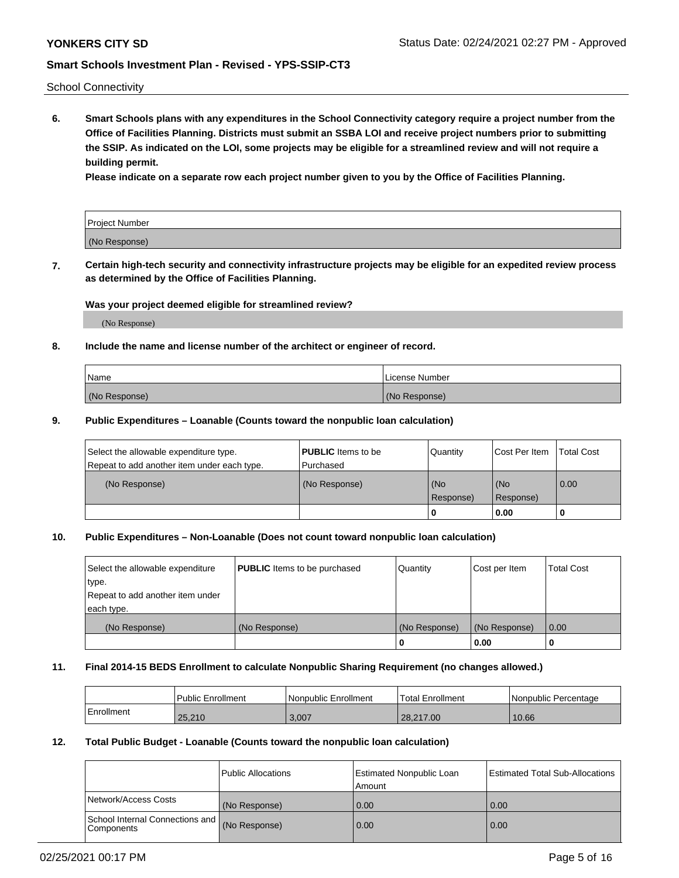School Connectivity

**6. Smart Schools plans with any expenditures in the School Connectivity category require a project number from the Office of Facilities Planning. Districts must submit an SSBA LOI and receive project numbers prior to submitting the SSIP. As indicated on the LOI, some projects may be eligible for a streamlined review and will not require a building permit.**

**Please indicate on a separate row each project number given to you by the Office of Facilities Planning.**

| Project Number |  |
|----------------|--|
| (No Response)  |  |

**7. Certain high-tech security and connectivity infrastructure projects may be eligible for an expedited review process as determined by the Office of Facilities Planning.**

#### **Was your project deemed eligible for streamlined review?**

(No Response)

## **8. Include the name and license number of the architect or engineer of record.**

| Name          | License Number |
|---------------|----------------|
| (No Response) | (No Response)  |

### **9. Public Expenditures – Loanable (Counts toward the nonpublic loan calculation)**

| Select the allowable expenditure type.<br>Repeat to add another item under each type. | <b>PUBLIC</b> Items to be<br>l Purchased | Quantity           | Cost Per Item    | <b>Total Cost</b> |
|---------------------------------------------------------------------------------------|------------------------------------------|--------------------|------------------|-------------------|
| (No Response)                                                                         | (No Response)                            | l (No<br>Response) | (No<br>Response) | $\overline{0.00}$ |
|                                                                                       |                                          | O                  | 0.00             |                   |

## **10. Public Expenditures – Non-Loanable (Does not count toward nonpublic loan calculation)**

| Select the allowable expenditure<br>type.<br>Repeat to add another item under<br>each type. | <b>PUBLIC</b> Items to be purchased | Quantity      | Cost per Item | <b>Total Cost</b> |
|---------------------------------------------------------------------------------------------|-------------------------------------|---------------|---------------|-------------------|
| (No Response)                                                                               | (No Response)                       | (No Response) | (No Response) | 0.00              |
|                                                                                             |                                     |               | 0.00          |                   |

#### **11. Final 2014-15 BEDS Enrollment to calculate Nonpublic Sharing Requirement (no changes allowed.)**

|            | l Public Enrollment | Nonpublic Enrollment | 'Total Enrollment | Nonpublic Percentage |
|------------|---------------------|----------------------|-------------------|----------------------|
| Enrollment | 25.210              | 3,007                | 28.217.00         | 10.66                |

### **12. Total Public Budget - Loanable (Counts toward the nonpublic loan calculation)**

|                                                      | Public Allocations | <b>Estimated Nonpublic Loan</b><br>Amount | Estimated Total Sub-Allocations |
|------------------------------------------------------|--------------------|-------------------------------------------|---------------------------------|
| Network/Access Costs                                 | (No Response)      | 0.00                                      | 0.00                            |
| School Internal Connections and<br><b>Components</b> | (No Response)      | 0.00                                      | 0.00                            |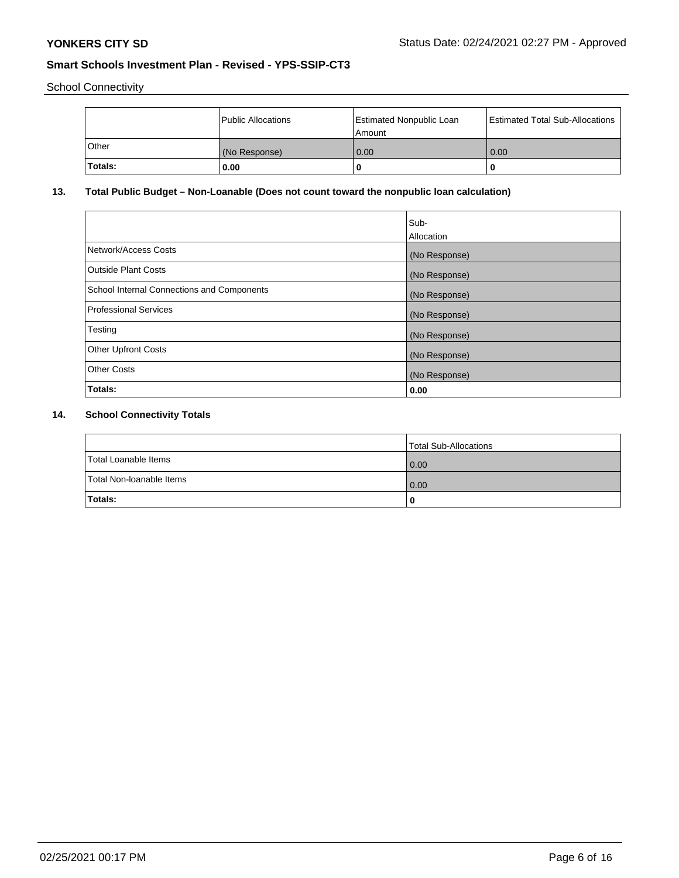School Connectivity

|         | Public Allocations | <b>Estimated Nonpublic Loan</b><br>l Amount | <b>Estimated Total Sub-Allocations</b> |
|---------|--------------------|---------------------------------------------|----------------------------------------|
| l Other | (No Response)      | 0.00                                        | 0.00                                   |
| Totals: | 0.00               | 0                                           |                                        |

# **13. Total Public Budget – Non-Loanable (Does not count toward the nonpublic loan calculation)**

|                                                   | Sub-<br>Allocation |
|---------------------------------------------------|--------------------|
| Network/Access Costs                              | (No Response)      |
| Outside Plant Costs                               | (No Response)      |
| <b>School Internal Connections and Components</b> | (No Response)      |
| Professional Services                             | (No Response)      |
| Testing                                           | (No Response)      |
| <b>Other Upfront Costs</b>                        | (No Response)      |
| <b>Other Costs</b>                                | (No Response)      |
| Totals:                                           | 0.00               |

# **14. School Connectivity Totals**

|                          | Total Sub-Allocations |
|--------------------------|-----------------------|
| Total Loanable Items     | 0.00                  |
| Total Non-Ioanable Items | 0.00                  |
| Totals:                  | 0                     |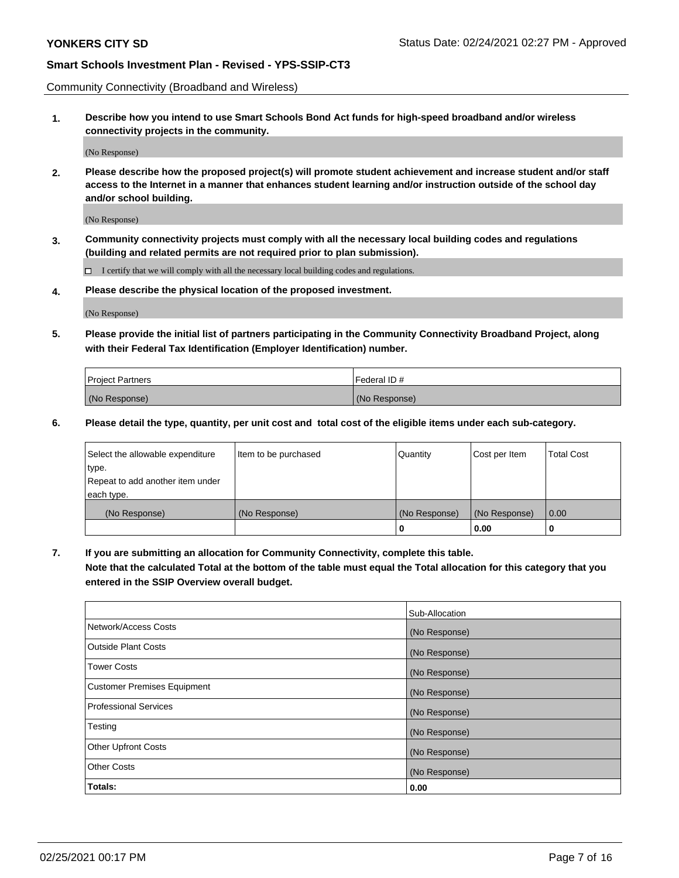Community Connectivity (Broadband and Wireless)

**1. Describe how you intend to use Smart Schools Bond Act funds for high-speed broadband and/or wireless connectivity projects in the community.**

(No Response)

**2. Please describe how the proposed project(s) will promote student achievement and increase student and/or staff access to the Internet in a manner that enhances student learning and/or instruction outside of the school day and/or school building.**

(No Response)

**3. Community connectivity projects must comply with all the necessary local building codes and regulations (building and related permits are not required prior to plan submission).**

 $\Box$  I certify that we will comply with all the necessary local building codes and regulations.

**4. Please describe the physical location of the proposed investment.**

(No Response)

**5. Please provide the initial list of partners participating in the Community Connectivity Broadband Project, along with their Federal Tax Identification (Employer Identification) number.**

| <b>Project Partners</b> | l Federal ID # |
|-------------------------|----------------|
| (No Response)           | (No Response)  |

**6. Please detail the type, quantity, per unit cost and total cost of the eligible items under each sub-category.**

| Select the allowable expenditure | Item to be purchased | Quantity      | Cost per Item | <b>Total Cost</b> |
|----------------------------------|----------------------|---------------|---------------|-------------------|
| type.                            |                      |               |               |                   |
| Repeat to add another item under |                      |               |               |                   |
| each type.                       |                      |               |               |                   |
| (No Response)                    | (No Response)        | (No Response) | (No Response) | 0.00              |
|                                  |                      | U             | 0.00          | -0                |

**7. If you are submitting an allocation for Community Connectivity, complete this table.**

**Note that the calculated Total at the bottom of the table must equal the Total allocation for this category that you entered in the SSIP Overview overall budget.**

|                                    | Sub-Allocation |
|------------------------------------|----------------|
| Network/Access Costs               | (No Response)  |
| Outside Plant Costs                | (No Response)  |
| <b>Tower Costs</b>                 | (No Response)  |
| <b>Customer Premises Equipment</b> | (No Response)  |
| <b>Professional Services</b>       | (No Response)  |
| Testing                            | (No Response)  |
| <b>Other Upfront Costs</b>         | (No Response)  |
| <b>Other Costs</b>                 | (No Response)  |
| Totals:                            | 0.00           |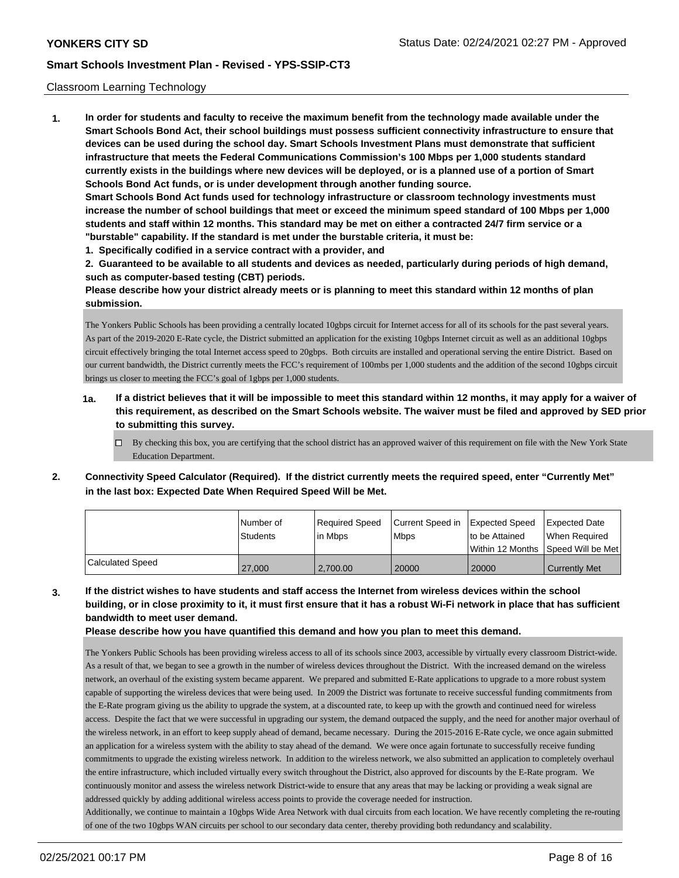### Classroom Learning Technology

**1. In order for students and faculty to receive the maximum benefit from the technology made available under the Smart Schools Bond Act, their school buildings must possess sufficient connectivity infrastructure to ensure that devices can be used during the school day. Smart Schools Investment Plans must demonstrate that sufficient infrastructure that meets the Federal Communications Commission's 100 Mbps per 1,000 students standard currently exists in the buildings where new devices will be deployed, or is a planned use of a portion of Smart Schools Bond Act funds, or is under development through another funding source. Smart Schools Bond Act funds used for technology infrastructure or classroom technology investments must increase the number of school buildings that meet or exceed the minimum speed standard of 100 Mbps per 1,000 students and staff within 12 months. This standard may be met on either a contracted 24/7 firm service or a "burstable" capability. If the standard is met under the burstable criteria, it must be:**

**1. Specifically codified in a service contract with a provider, and**

**2. Guaranteed to be available to all students and devices as needed, particularly during periods of high demand, such as computer-based testing (CBT) periods.**

**Please describe how your district already meets or is planning to meet this standard within 12 months of plan submission.**

The Yonkers Public Schools has been providing a centrally located 10gbps circuit for Internet access for all of its schools for the past several years. As part of the 2019-2020 E-Rate cycle, the District submitted an application for the existing 10gbps Internet circuit as well as an additional 10gbps circuit effectively bringing the total Internet access speed to 20gbps. Both circuits are installed and operational serving the entire District. Based on our current bandwidth, the District currently meets the FCC's requirement of 100mbs per 1,000 students and the addition of the second 10gbps circuit brings us closer to meeting the FCC's goal of 1gbps per 1,000 students.

- **1a. If a district believes that it will be impossible to meet this standard within 12 months, it may apply for a waiver of this requirement, as described on the Smart Schools website. The waiver must be filed and approved by SED prior to submitting this survey.**
	- By checking this box, you are certifying that the school district has an approved waiver of this requirement on file with the New York State Education Department.
- **2. Connectivity Speed Calculator (Required). If the district currently meets the required speed, enter "Currently Met" in the last box: Expected Date When Required Speed Will be Met.**

|                  | l Number of<br><b>Students</b> | Required Speed<br>in Mbps | Current Speed in Expected Speed<br><b>Mbps</b> | to be Attained                     | Expected Date<br>When Required |
|------------------|--------------------------------|---------------------------|------------------------------------------------|------------------------------------|--------------------------------|
|                  |                                |                           |                                                | Within 12 Months Speed Will be Met |                                |
| Calculated Speed | 27,000                         | 2.700.00                  | 20000                                          | 20000                              | <b>Currently Met</b>           |

**3. If the district wishes to have students and staff access the Internet from wireless devices within the school building, or in close proximity to it, it must first ensure that it has a robust Wi-Fi network in place that has sufficient bandwidth to meet user demand.**

**Please describe how you have quantified this demand and how you plan to meet this demand.**

The Yonkers Public Schools has been providing wireless access to all of its schools since 2003, accessible by virtually every classroom District-wide. As a result of that, we began to see a growth in the number of wireless devices throughout the District. With the increased demand on the wireless network, an overhaul of the existing system became apparent. We prepared and submitted E-Rate applications to upgrade to a more robust system capable of supporting the wireless devices that were being used. In 2009 the District was fortunate to receive successful funding commitments from the E-Rate program giving us the ability to upgrade the system, at a discounted rate, to keep up with the growth and continued need for wireless access. Despite the fact that we were successful in upgrading our system, the demand outpaced the supply, and the need for another major overhaul of the wireless network, in an effort to keep supply ahead of demand, became necessary. During the 2015-2016 E-Rate cycle, we once again submitted an application for a wireless system with the ability to stay ahead of the demand. We were once again fortunate to successfully receive funding commitments to upgrade the existing wireless network. In addition to the wireless network, we also submitted an application to completely overhaul the entire infrastructure, which included virtually every switch throughout the District, also approved for discounts by the E-Rate program. We continuously monitor and assess the wireless network District-wide to ensure that any areas that may be lacking or providing a weak signal are addressed quickly by adding additional wireless access points to provide the coverage needed for instruction.

Additionally, we continue to maintain a 10gbps Wide Area Network with dual circuits from each location. We have recently completing the re-routing of one of the two 10gbps WAN circuits per school to our secondary data center, thereby providing both redundancy and scalability.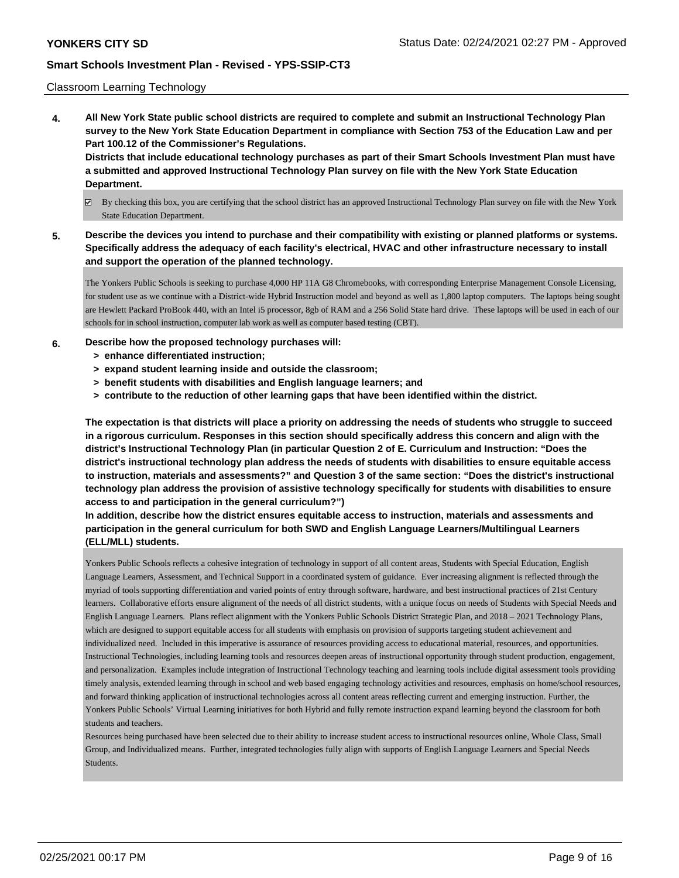### Classroom Learning Technology

**4. All New York State public school districts are required to complete and submit an Instructional Technology Plan survey to the New York State Education Department in compliance with Section 753 of the Education Law and per Part 100.12 of the Commissioner's Regulations. Districts that include educational technology purchases as part of their Smart Schools Investment Plan must have**

**a submitted and approved Instructional Technology Plan survey on file with the New York State Education Department.**

- By checking this box, you are certifying that the school district has an approved Instructional Technology Plan survey on file with the New York State Education Department.
- **5. Describe the devices you intend to purchase and their compatibility with existing or planned platforms or systems. Specifically address the adequacy of each facility's electrical, HVAC and other infrastructure necessary to install and support the operation of the planned technology.**

The Yonkers Public Schools is seeking to purchase 4,000 HP 11A G8 Chromebooks, with corresponding Enterprise Management Console Licensing, for student use as we continue with a District-wide Hybrid Instruction model and beyond as well as 1,800 laptop computers. The laptops being sought are Hewlett Packard ProBook 440, with an Intel i5 processor, 8gb of RAM and a 256 Solid State hard drive. These laptops will be used in each of our schools for in school instruction, computer lab work as well as computer based testing (CBT).

## **6. Describe how the proposed technology purchases will:**

- **> enhance differentiated instruction;**
- **> expand student learning inside and outside the classroom;**
- **> benefit students with disabilities and English language learners; and**
- **> contribute to the reduction of other learning gaps that have been identified within the district.**

**The expectation is that districts will place a priority on addressing the needs of students who struggle to succeed in a rigorous curriculum. Responses in this section should specifically address this concern and align with the district's Instructional Technology Plan (in particular Question 2 of E. Curriculum and Instruction: "Does the district's instructional technology plan address the needs of students with disabilities to ensure equitable access to instruction, materials and assessments?" and Question 3 of the same section: "Does the district's instructional technology plan address the provision of assistive technology specifically for students with disabilities to ensure access to and participation in the general curriculum?")**

**In addition, describe how the district ensures equitable access to instruction, materials and assessments and participation in the general curriculum for both SWD and English Language Learners/Multilingual Learners (ELL/MLL) students.**

Yonkers Public Schools reflects a cohesive integration of technology in support of all content areas, Students with Special Education, English Language Learners, Assessment, and Technical Support in a coordinated system of guidance. Ever increasing alignment is reflected through the myriad of tools supporting differentiation and varied points of entry through software, hardware, and best instructional practices of 21st Century learners. Collaborative efforts ensure alignment of the needs of all district students, with a unique focus on needs of Students with Special Needs and English Language Learners. Plans reflect alignment with the Yonkers Public Schools District Strategic Plan, and 2018 – 2021 Technology Plans, which are designed to support equitable access for all students with emphasis on provision of supports targeting student achievement and individualized need. Included in this imperative is assurance of resources providing access to educational material, resources, and opportunities. Instructional Technologies, including learning tools and resources deepen areas of instructional opportunity through student production, engagement, and personalization. Examples include integration of Instructional Technology teaching and learning tools include digital assessment tools providing timely analysis, extended learning through in school and web based engaging technology activities and resources, emphasis on home/school resources, and forward thinking application of instructional technologies across all content areas reflecting current and emerging instruction. Further, the Yonkers Public Schools' Virtual Learning initiatives for both Hybrid and fully remote instruction expand learning beyond the classroom for both students and teachers.

Resources being purchased have been selected due to their ability to increase student access to instructional resources online, Whole Class, Small Group, and Individualized means. Further, integrated technologies fully align with supports of English Language Learners and Special Needs Students.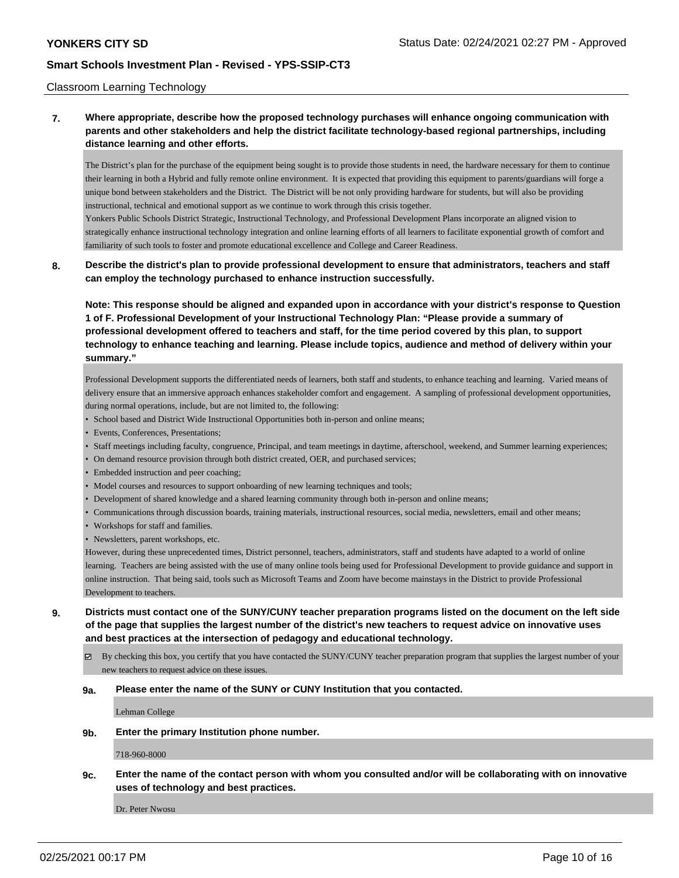### Classroom Learning Technology

## **7. Where appropriate, describe how the proposed technology purchases will enhance ongoing communication with parents and other stakeholders and help the district facilitate technology-based regional partnerships, including distance learning and other efforts.**

The District's plan for the purchase of the equipment being sought is to provide those students in need, the hardware necessary for them to continue their learning in both a Hybrid and fully remote online environment. It is expected that providing this equipment to parents/guardians will forge a unique bond between stakeholders and the District. The District will be not only providing hardware for students, but will also be providing instructional, technical and emotional support as we continue to work through this crisis together. Yonkers Public Schools District Strategic, Instructional Technology, and Professional Development Plans incorporate an aligned vision to

strategically enhance instructional technology integration and online learning efforts of all learners to facilitate exponential growth of comfort and familiarity of such tools to foster and promote educational excellence and College and Career Readiness.

**8. Describe the district's plan to provide professional development to ensure that administrators, teachers and staff can employ the technology purchased to enhance instruction successfully.**

**Note: This response should be aligned and expanded upon in accordance with your district's response to Question 1 of F. Professional Development of your Instructional Technology Plan: "Please provide a summary of professional development offered to teachers and staff, for the time period covered by this plan, to support technology to enhance teaching and learning. Please include topics, audience and method of delivery within your summary."**

Professional Development supports the differentiated needs of learners, both staff and students, to enhance teaching and learning. Varied means of delivery ensure that an immersive approach enhances stakeholder comfort and engagement. A sampling of professional development opportunities, during normal operations, include, but are not limited to, the following:

- School based and District Wide Instructional Opportunities both in-person and online means;
- Events, Conferences, Presentations;
- Staff meetings including faculty, congruence, Principal, and team meetings in daytime, afterschool, weekend, and Summer learning experiences;
- On demand resource provision through both district created, OER, and purchased services;
- Embedded instruction and peer coaching;
- Model courses and resources to support onboarding of new learning techniques and tools;
- Development of shared knowledge and a shared learning community through both in-person and online means;
- Communications through discussion boards, training materials, instructional resources, social media, newsletters, email and other means;
- Workshops for staff and families.
- Newsletters, parent workshops, etc.

However, during these unprecedented times, District personnel, teachers, administrators, staff and students have adapted to a world of online learning. Teachers are being assisted with the use of many online tools being used for Professional Development to provide guidance and support in online instruction. That being said, tools such as Microsoft Teams and Zoom have become mainstays in the District to provide Professional Development to teachers.

- **9. Districts must contact one of the SUNY/CUNY teacher preparation programs listed on the document on the left side of the page that supplies the largest number of the district's new teachers to request advice on innovative uses and best practices at the intersection of pedagogy and educational technology.**
	- $\boxtimes$  By checking this box, you certify that you have contacted the SUNY/CUNY teacher preparation program that supplies the largest number of your new teachers to request advice on these issues.

#### **9a. Please enter the name of the SUNY or CUNY Institution that you contacted.**

Lehman College

**9b. Enter the primary Institution phone number.**

718-960-8000

**9c. Enter the name of the contact person with whom you consulted and/or will be collaborating with on innovative uses of technology and best practices.**

Dr. Peter Nwosu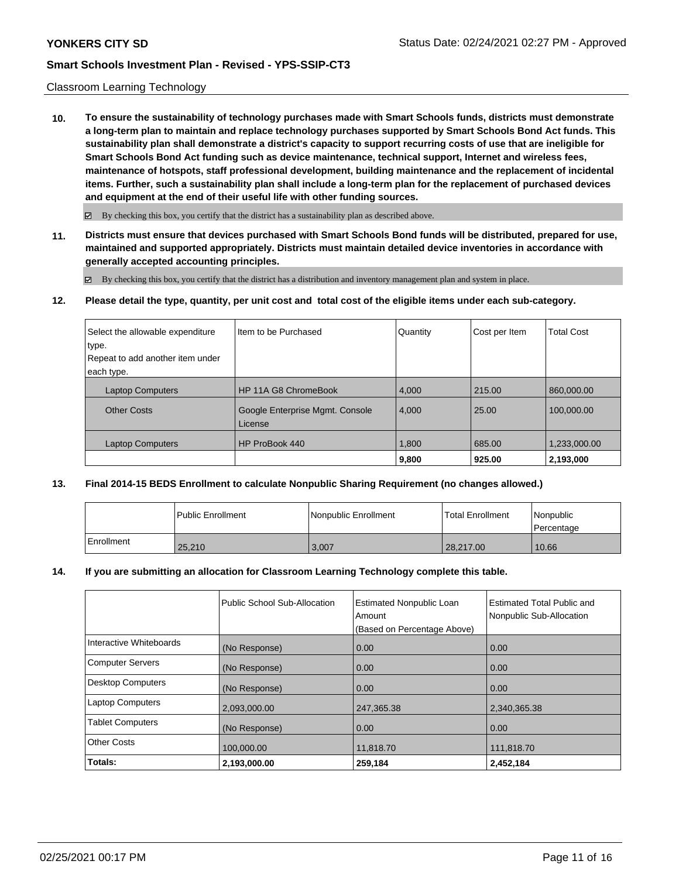### Classroom Learning Technology

**10. To ensure the sustainability of technology purchases made with Smart Schools funds, districts must demonstrate a long-term plan to maintain and replace technology purchases supported by Smart Schools Bond Act funds. This sustainability plan shall demonstrate a district's capacity to support recurring costs of use that are ineligible for Smart Schools Bond Act funding such as device maintenance, technical support, Internet and wireless fees, maintenance of hotspots, staff professional development, building maintenance and the replacement of incidental items. Further, such a sustainability plan shall include a long-term plan for the replacement of purchased devices and equipment at the end of their useful life with other funding sources.**

 $\boxtimes$  By checking this box, you certify that the district has a sustainability plan as described above.

**11. Districts must ensure that devices purchased with Smart Schools Bond funds will be distributed, prepared for use, maintained and supported appropriately. Districts must maintain detailed device inventories in accordance with generally accepted accounting principles.**

By checking this box, you certify that the district has a distribution and inventory management plan and system in place.

**12. Please detail the type, quantity, per unit cost and total cost of the eligible items under each sub-category.**

| Select the allowable expenditure<br>type. | Item to be Purchased                       | Quantity | Cost per Item | <b>Total Cost</b> |
|-------------------------------------------|--------------------------------------------|----------|---------------|-------------------|
| Repeat to add another item under          |                                            |          |               |                   |
| each type.                                |                                            |          |               |                   |
| <b>Laptop Computers</b>                   | HP 11A G8 ChromeBook                       | 4,000    | 215.00        | 860,000.00        |
| <b>Other Costs</b>                        | Google Enterprise Mgmt. Console<br>License | 4,000    | 25.00         | 100,000.00        |
| <b>Laptop Computers</b>                   | HP ProBook 440                             | 1,800    | 685.00        | 1,233,000.00      |
|                                           |                                            | 9,800    | 925.00        | 2,193,000         |

### **13. Final 2014-15 BEDS Enrollment to calculate Nonpublic Sharing Requirement (no changes allowed.)**

|            | Public Enrollment | Nonpublic Enrollment | <b>Total Enrollment</b> | Nonpublic<br>l Percentage |
|------------|-------------------|----------------------|-------------------------|---------------------------|
| Enrollment | 25,210            | 3,007                | 28,217.00               | 10.66                     |

#### **14. If you are submitting an allocation for Classroom Learning Technology complete this table.**

|                          | Public School Sub-Allocation | <b>Estimated Nonpublic Loan</b><br>Amount | Estimated Total Public and<br>Nonpublic Sub-Allocation |
|--------------------------|------------------------------|-------------------------------------------|--------------------------------------------------------|
|                          |                              | (Based on Percentage Above)               |                                                        |
| Interactive Whiteboards  | (No Response)                | 0.00                                      | 0.00                                                   |
| <b>Computer Servers</b>  | (No Response)                | 0.00                                      | 0.00                                                   |
| <b>Desktop Computers</b> | (No Response)                | 0.00                                      | 0.00                                                   |
| <b>Laptop Computers</b>  | 2,093,000.00                 | 247,365.38                                | 2,340,365.38                                           |
| <b>Tablet Computers</b>  | (No Response)                | 0.00                                      | 0.00                                                   |
| <b>Other Costs</b>       | 100,000.00                   | 11,818.70                                 | 111,818.70                                             |
| Totals:                  | 2,193,000.00                 | 259,184                                   | 2,452,184                                              |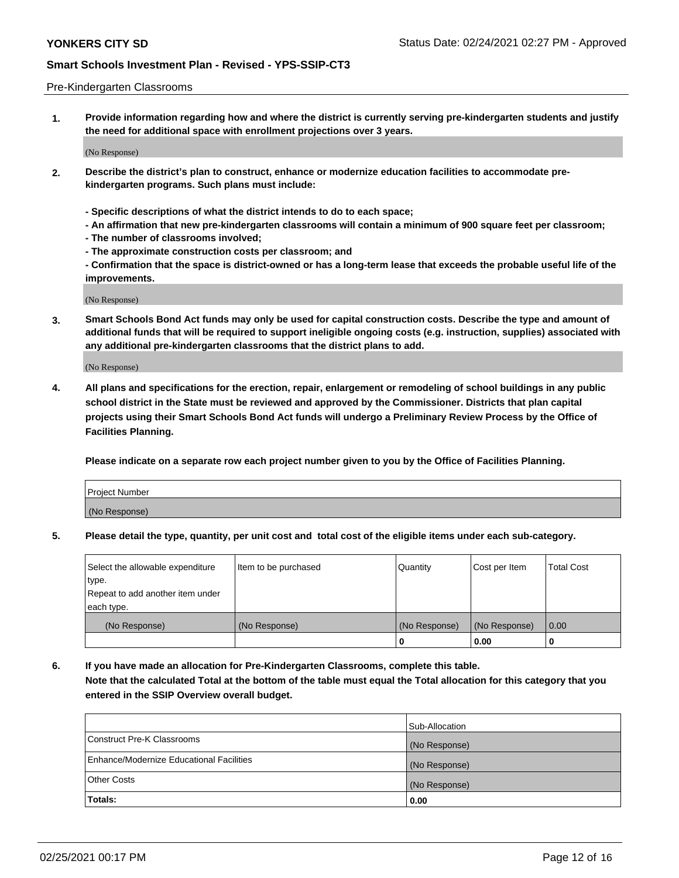#### Pre-Kindergarten Classrooms

**1. Provide information regarding how and where the district is currently serving pre-kindergarten students and justify the need for additional space with enrollment projections over 3 years.**

(No Response)

- **2. Describe the district's plan to construct, enhance or modernize education facilities to accommodate prekindergarten programs. Such plans must include:**
	- **Specific descriptions of what the district intends to do to each space;**
	- **An affirmation that new pre-kindergarten classrooms will contain a minimum of 900 square feet per classroom;**
	- **The number of classrooms involved;**
	- **The approximate construction costs per classroom; and**
	- **Confirmation that the space is district-owned or has a long-term lease that exceeds the probable useful life of the improvements.**

(No Response)

**3. Smart Schools Bond Act funds may only be used for capital construction costs. Describe the type and amount of additional funds that will be required to support ineligible ongoing costs (e.g. instruction, supplies) associated with any additional pre-kindergarten classrooms that the district plans to add.**

(No Response)

**4. All plans and specifications for the erection, repair, enlargement or remodeling of school buildings in any public school district in the State must be reviewed and approved by the Commissioner. Districts that plan capital projects using their Smart Schools Bond Act funds will undergo a Preliminary Review Process by the Office of Facilities Planning.**

**Please indicate on a separate row each project number given to you by the Office of Facilities Planning.**

| Project Number |  |
|----------------|--|
| (No Response)  |  |
|                |  |

**5. Please detail the type, quantity, per unit cost and total cost of the eligible items under each sub-category.**

| Select the allowable expenditure | Item to be purchased | Quantity      | Cost per Item | <b>Total Cost</b> |
|----------------------------------|----------------------|---------------|---------------|-------------------|
| type.                            |                      |               |               |                   |
| Repeat to add another item under |                      |               |               |                   |
| each type.                       |                      |               |               |                   |
| (No Response)                    | (No Response)        | (No Response) | (No Response) | 0.00              |
|                                  |                      | U             | 0.00          |                   |

**6. If you have made an allocation for Pre-Kindergarten Classrooms, complete this table. Note that the calculated Total at the bottom of the table must equal the Total allocation for this category that you entered in the SSIP Overview overall budget.**

|                                          | Sub-Allocation |
|------------------------------------------|----------------|
| Construct Pre-K Classrooms               | (No Response)  |
| Enhance/Modernize Educational Facilities | (No Response)  |
| <b>Other Costs</b>                       | (No Response)  |
| Totals:                                  | 0.00           |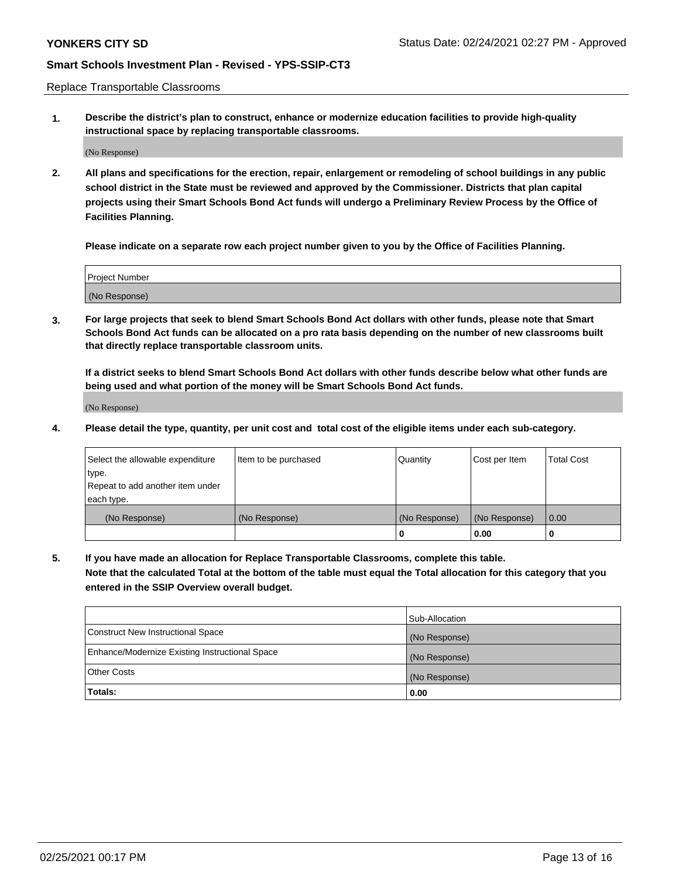Replace Transportable Classrooms

**1. Describe the district's plan to construct, enhance or modernize education facilities to provide high-quality instructional space by replacing transportable classrooms.**

(No Response)

**2. All plans and specifications for the erection, repair, enlargement or remodeling of school buildings in any public school district in the State must be reviewed and approved by the Commissioner. Districts that plan capital projects using their Smart Schools Bond Act funds will undergo a Preliminary Review Process by the Office of Facilities Planning.**

**Please indicate on a separate row each project number given to you by the Office of Facilities Planning.**

| Project Number |  |
|----------------|--|
|                |  |
|                |  |
|                |  |
|                |  |
| (No Response)  |  |
|                |  |
|                |  |
|                |  |

**3. For large projects that seek to blend Smart Schools Bond Act dollars with other funds, please note that Smart Schools Bond Act funds can be allocated on a pro rata basis depending on the number of new classrooms built that directly replace transportable classroom units.**

**If a district seeks to blend Smart Schools Bond Act dollars with other funds describe below what other funds are being used and what portion of the money will be Smart Schools Bond Act funds.**

(No Response)

**4. Please detail the type, quantity, per unit cost and total cost of the eligible items under each sub-category.**

| Select the allowable expenditure | Item to be purchased | Quantity      | Cost per Item | Total Cost |
|----------------------------------|----------------------|---------------|---------------|------------|
| ∣type.                           |                      |               |               |            |
| Repeat to add another item under |                      |               |               |            |
| each type.                       |                      |               |               |            |
| (No Response)                    | (No Response)        | (No Response) | (No Response) | 0.00       |
|                                  |                      | u             | 0.00          |            |

**5. If you have made an allocation for Replace Transportable Classrooms, complete this table. Note that the calculated Total at the bottom of the table must equal the Total allocation for this category that you entered in the SSIP Overview overall budget.**

|                                                | Sub-Allocation |
|------------------------------------------------|----------------|
| Construct New Instructional Space              | (No Response)  |
| Enhance/Modernize Existing Instructional Space | (No Response)  |
| Other Costs                                    | (No Response)  |
| Totals:                                        | 0.00           |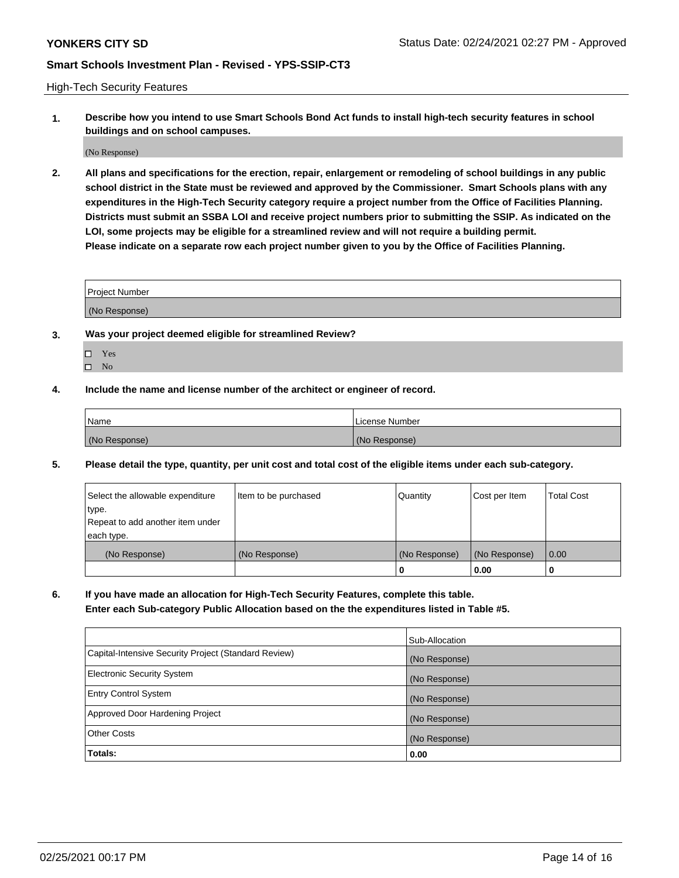High-Tech Security Features

**1. Describe how you intend to use Smart Schools Bond Act funds to install high-tech security features in school buildings and on school campuses.**

(No Response)

**2. All plans and specifications for the erection, repair, enlargement or remodeling of school buildings in any public school district in the State must be reviewed and approved by the Commissioner. Smart Schools plans with any expenditures in the High-Tech Security category require a project number from the Office of Facilities Planning. Districts must submit an SSBA LOI and receive project numbers prior to submitting the SSIP. As indicated on the LOI, some projects may be eligible for a streamlined review and will not require a building permit. Please indicate on a separate row each project number given to you by the Office of Facilities Planning.**

| <b>Project Number</b> |  |
|-----------------------|--|
| (No Response)         |  |

- **3. Was your project deemed eligible for streamlined Review?**
	- Yes
	- $\hfill \square$  No
- **4. Include the name and license number of the architect or engineer of record.**

| Name          | License Number |
|---------------|----------------|
| (No Response) | (No Response)  |

**5. Please detail the type, quantity, per unit cost and total cost of the eligible items under each sub-category.**

| Select the allowable expenditure | Item to be purchased | Quantity      | Cost per Item | Total Cost |
|----------------------------------|----------------------|---------------|---------------|------------|
| 'type.                           |                      |               |               |            |
| Repeat to add another item under |                      |               |               |            |
| each type.                       |                      |               |               |            |
| (No Response)                    | (No Response)        | (No Response) | (No Response) | 0.00       |
|                                  |                      | u             | 0.00          |            |

**6. If you have made an allocation for High-Tech Security Features, complete this table.**

**Enter each Sub-category Public Allocation based on the the expenditures listed in Table #5.**

|                                                      | Sub-Allocation |
|------------------------------------------------------|----------------|
| Capital-Intensive Security Project (Standard Review) | (No Response)  |
| <b>Electronic Security System</b>                    | (No Response)  |
| <b>Entry Control System</b>                          | (No Response)  |
| Approved Door Hardening Project                      | (No Response)  |
| <b>Other Costs</b>                                   | (No Response)  |
| Totals:                                              | 0.00           |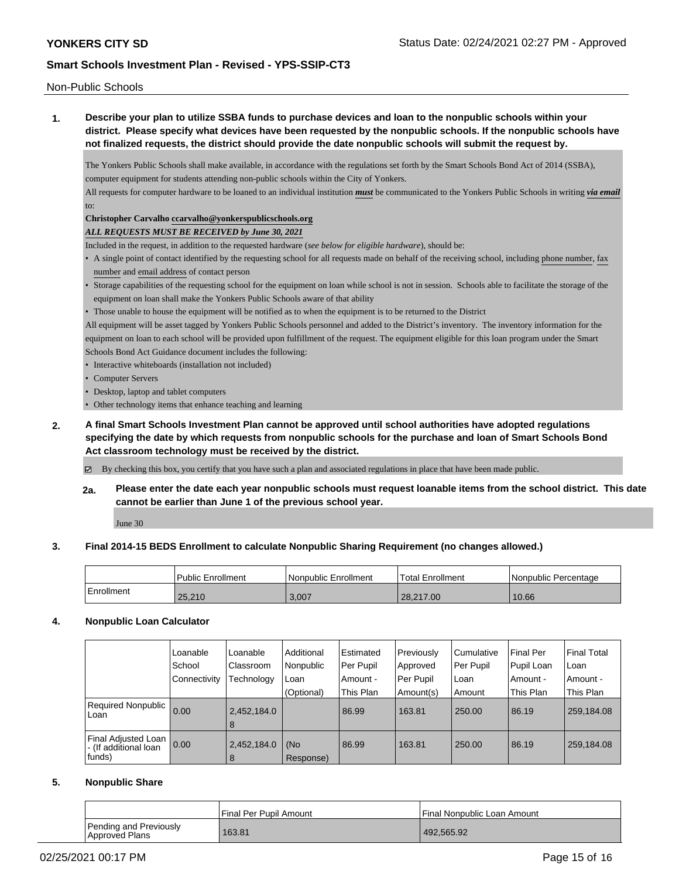Non-Public Schools

**1. Describe your plan to utilize SSBA funds to purchase devices and loan to the nonpublic schools within your district. Please specify what devices have been requested by the nonpublic schools. If the nonpublic schools have not finalized requests, the district should provide the date nonpublic schools will submit the request by.**

The Yonkers Public Schools shall make available, in accordance with the regulations set forth by the Smart Schools Bond Act of 2014 (SSBA), computer equipment for students attending non-public schools within the City of Yonkers.

All requests for computer hardware to be loaned to an individual institution *must* be communicated to the Yonkers Public Schools in writing *via email* to:

## **Christopher Carvalho ccarvalho@yonkerspublicschools.org**

*ALL REQUESTS MUST BE RECEIVED by June 30, 2021*

Included in the request, in addition to the requested hardware (*see below for eligible hardware*), should be:

- A single point of contact identified by the requesting school for all requests made on behalf of the receiving school, including phone number, fax number and email address of contact person
- Storage capabilities of the requesting school for the equipment on loan while school is not in session. Schools able to facilitate the storage of the equipment on loan shall make the Yonkers Public Schools aware of that ability
- Those unable to house the equipment will be notified as to when the equipment is to be returned to the District

All equipment will be asset tagged by Yonkers Public Schools personnel and added to the District's inventory. The inventory information for the equipment on loan to each school will be provided upon fulfillment of the request. The equipment eligible for this loan program under the Smart Schools Bond Act Guidance document includes the following:

- Interactive whiteboards (installation not included)
- Computer Servers
- Desktop, laptop and tablet computers
- Other technology items that enhance teaching and learning
- **2. A final Smart Schools Investment Plan cannot be approved until school authorities have adopted regulations specifying the date by which requests from nonpublic schools for the purchase and loan of Smart Schools Bond Act classroom technology must be received by the district.**

By checking this box, you certify that you have such a plan and associated regulations in place that have been made public.

**2a. Please enter the date each year nonpublic schools must request loanable items from the school district. This date cannot be earlier than June 1 of the previous school year.**

June 30

## **3. Final 2014-15 BEDS Enrollment to calculate Nonpublic Sharing Requirement (no changes allowed.)**

|            | Public Enrollment | <b>Nonpublic Enrollment</b> | Total Enrollment | Nonpublic Percentage |
|------------|-------------------|-----------------------------|------------------|----------------------|
| Enrollment | 25.210            | 3,007                       | 28.217.00        | 10.66                |

## **4. Nonpublic Loan Calculator**

|                                              | Loanable<br>School<br>Connectivity | Loanable<br>Classroom<br>Technology | Additional<br>Nonpublic<br>Loan | Estimated<br>Per Pupil<br>Amount - | Previously<br>Approved<br>Per Pupil | Cumulative<br>Per Pupil<br>Loan | <b>Final Per</b><br>Pupil Loan<br>ı Amount - | l Final Total<br>l Loan<br>l Amount - |
|----------------------------------------------|------------------------------------|-------------------------------------|---------------------------------|------------------------------------|-------------------------------------|---------------------------------|----------------------------------------------|---------------------------------------|
|                                              |                                    |                                     |                                 |                                    |                                     |                                 |                                              |                                       |
|                                              |                                    |                                     | (Optional)                      | This Plan                          | Amount(s)                           | Amount                          | This Plan                                    | This Plan                             |
| <b>Required Nonpublic</b><br>Loan            | 0.00                               | 2,452,184.0                         |                                 | 86.99                              | 163.81                              | 250.00                          | 86.19                                        | 259,184.08                            |
|                                              |                                    | 8                                   |                                 |                                    |                                     |                                 |                                              |                                       |
| Final Adjusted Loan<br>- (If additional loan | 0.00                               | 2,452,184.0                         | (No                             | 86.99                              | 163.81                              | 250.00                          | 86.19                                        | 259,184.08                            |
| funds)                                       |                                    | 8                                   | Response)                       |                                    |                                     |                                 |                                              |                                       |

## **5. Nonpublic Share**

|                                          | l Final Per Pupil Amount | Final Nonpublic Loan Amount |
|------------------------------------------|--------------------------|-----------------------------|
| Pending and Previously<br>Approved Plans | 163.81                   | 492.565.92                  |